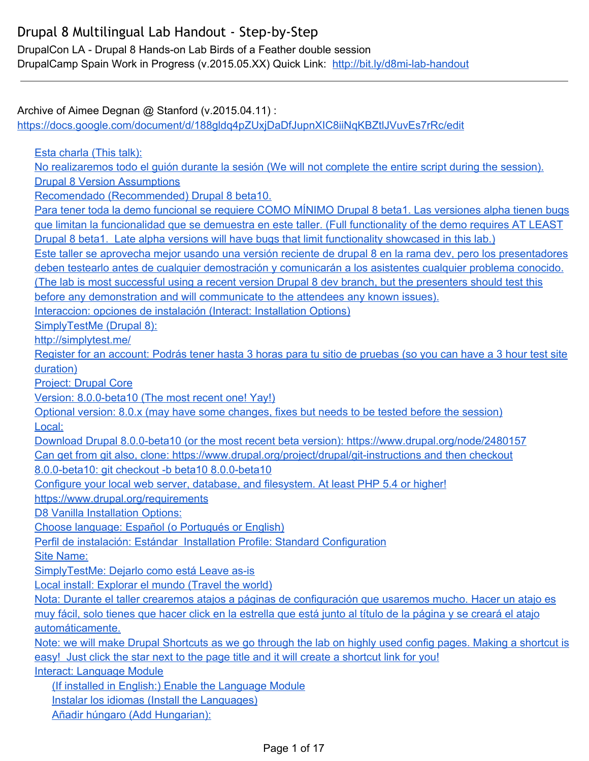DrupalCon LA - Drupal 8 Hands-on Lab Birds of a Feather double session DrupalCamp Spain Work in Progress (v.2015.05.XX) Quick Link: http://bit.ly/d8mi-lab-handout

Archive of Aimee Degnan @ Stanford (v.2015.04.11) : <https://docs.google.com/document/d/188gldq4pZUxjDaDfJupnXIC8iiNqKBZtlJVuvEs7rRc/edit> Esta [charla](#page-3-0) (This talk): No [realizaremos](#page-3-1) todo el guión durante la sesión (We will not complete the entire script during the session). Drupal 8 Version [Assumptions](#page-3-2) Recomendado [\(Recommended\)](#page-3-1) Drupal 8 beta10. Para tener toda la demo funcional se requiere COMO MÍNIMO Drupal 8 beta1. Las [versiones](#page-3-1) alpha tienen bugs que limitan la [funcionalidad](#page-3-1) que se demuestra en este taller. (Full functionality of the demo requires AT LEAST Drupal 8 beta1. Late alpha versions will have bugs that limit [functionality](#page-3-1) showcased in this lab.) Este taller se aprovecha mejor usando una versión reciente de drupal 8 en la rama dev, pero los [presentadores](#page-3-1) deben testearlo antes de cualquier [demostración](#page-3-1) y comunicarán a los asistentes cualquier problema conocido. (The lab is most successful using a recent version Drupal 8 dev branch, but the [presenters](#page-3-1) should test this before any [demonstration](#page-3-1) and will communicate to the attendees any known issues). [Interaccion:](#page-3-3) opciones de instalación (Interact: Installation Options) [SimplyTestMe](#page-3-1) (Drupal 8): [http://simplytest.me/](#page-3-1) Register for an [account:](#page-3-1) Podrás tener hasta 3 horas para tu sitio de pruebas (so you can have a 3 hour test site [duration\)](#page-3-1) [Project:](#page-3-1) Drupal Core Version: 8.0.0-beta10 (The most recent one! Yay!) Optional version: 8.0.x (may have some [changes,](#page-3-1) fixes but needs to be tested before the session) [Local:](#page-3-1) Download Drupal 8.0.0-beta10 (or the most recent beta version): [https://www.drupal.org/node/2480157](#page-3-1) Can get from git also, clone: https://www.drupal.org/project/drupal/git-instructions and then checkout 8.0.0-beta10: git checkout -b beta10 8.0.0-beta10 Configure your local web server, database, and [filesystem.](#page-3-1) At least PHP 5.4 or higher! [https://www.drupal.org/requirements](#page-3-1) D8 Vanilla [Installation](#page-3-1) Options: Choose language: Español (o [Portugués](#page-3-1) or English) Perfil de instalación: Estándar Installation Profile: Standard [Configuration](#page-3-1) Site [Name:](#page-3-1) [SimplyTestMe:](#page-3-1) Dejarlo como está Leave as-is Local install: [Explorar](#page-3-1) el mundo (Travel the world) Nota: Durante el taller crearemos atajos a páginas de [configuración](#page-4-0) que usaremos mucho. Hacer un atajo es muy fácil, solo tienes que hacer click en la [estrella](#page-4-0) que está junto al título de la página y se creará el atajo [automáticamente.](#page-4-0) Note: we will make Drupal [Shortcuts](#page-4-1) as we go through the lab on highly used config pages. Making a shortcut is easy! Just click the star next to the page title and it will create a [shortcut](#page-4-1) link for you! Interact: [Language](#page-4-2) Module (If installed in English:) Enable the [Language](#page-4-3) Module Instalar los idiomas (Install the [Languages\)](#page-4-4) Añadir húngaro (Add [Hungarian\):](#page-4-5)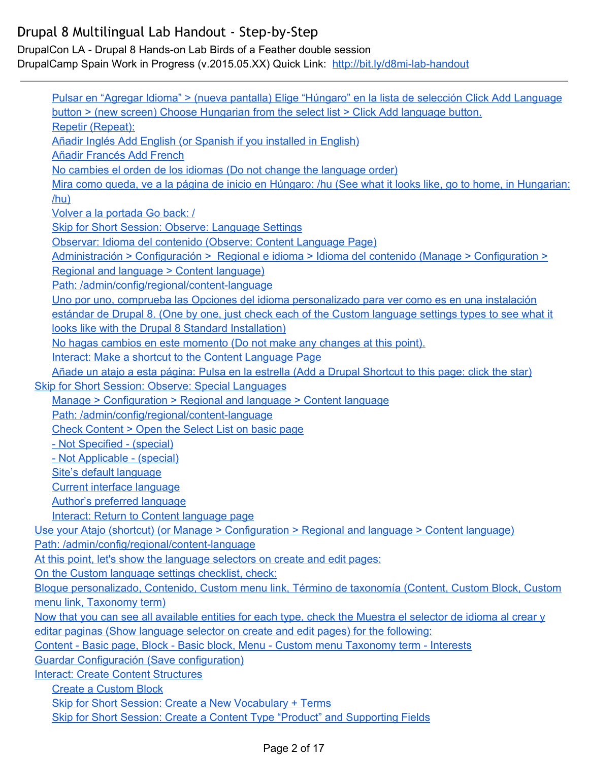DrupalCon LA - Drupal 8 Hands-on Lab Birds of a Feather double session DrupalCamp Spain Work in Progress (v.2015.05.XX) Quick Link: http://bit.ly/d8mi-lab-handout

Pulsar en "Agregar Idioma" > (nueva pantalla) Elige ["Húngaro"](#page-4-5) en la lista de selección Click Add Language button > (new screen) Choose [Hungarian](#page-4-5) from the select list > Click Add language button. Repetir [\(Repeat\):](#page-4-5) Añadir Inglés Add English (or Spanish if you [installed](#page-4-5) in English) Añadir [Francés](#page-4-5) Add French No cambies el orden de los idiomas (Do not change the [language](#page-4-5) order) Mira como queda, ve a la página de inicio en Húngaro: /hu (See what it looks like, go to home, in [Hungarian:](#page-4-5) [/hu\)](#page-4-5) Volver a la [portada](#page-4-6) Go back: / Skip for Short Session: Observe: [Language](#page-4-7) Settings Observar: Idioma del contenido (Observe: Content [Language](#page-5-0) Page) [Administración](#page-5-1) > Configuración > Regional e idioma > Idioma del contenido (Manage > Configuration > Regional and language > Content [language\)](#page-5-1) Path: /admin/config/regional/content-language Uno por uno, comprueba las Opciones del idioma [personalizado](#page-5-3) para ver como es en una instalación estándar de Drupal 8. (One by one, just check each of the Custom [language](#page-5-3) settings types to see what it looks like with the Drupal 8 Standard [Installation\)](#page-5-3) No hagas cambios en este [momento](#page-5-4) (Do not make any changes at this point). Interact: Make a shortcut to the Content [Language](#page-5-5) Page Añade un atajo a esta página: Pulsa en la estrella (Add a Drupal [Shortcut](#page-5-6) to this page: click the star) Skip for Short Session: Observe: Special [Languages](#page-5-7) Manage > [Configuration](#page-5-8) > Regional and language > Content language Path: /admin/config/regional/content-language Check [Content](#page-5-8) > Open the Select List on basic page - Not [Specified](#page-5-8) - (special) - Not [Applicable](#page-5-8) - (special) Site's default [language](#page-5-8) Current interface [language](#page-5-9) Author's preferred [language](#page-5-10) Interact: Return to Content [language](#page-6-0) page Use your Atajo (shortcut) (or Manage > [Configuration](#page-6-1) > Regional and language > Content language) Path: /admin/config/regional/content-language At this point, let's show the [language](#page-6-1) selectors on create and edit pages: On the Custom [language](#page-6-1) settings checklist, check: Bloque [personalizado,](#page-6-1) Contenido, Custom menu link, Término de taxonomía (Content, Custom Block, Custom menu link, [Taxonomy](#page-6-1) term) Now that you can see all [available](#page-6-1) entities for each type, check the Muestra el selector de idioma al crear y editar paginas (Show language selector on create and edit pages) for the [following:](#page-6-1) Content - Basic page, Block - Basic block, Menu - Custom menu [Taxonomy](#page-6-1) term - Interests Guardar [Configuración](#page-6-2) (Save configuration) Interact: Create Content [Structures](#page-6-1) Create a [Custom](#page-6-3) Block Skip for Short Session: Create a New [Vocabulary](#page-6-4) + Terms Skip for Short Session: Create a Content Type "Product" and [Supporting](#page-7-0) Fields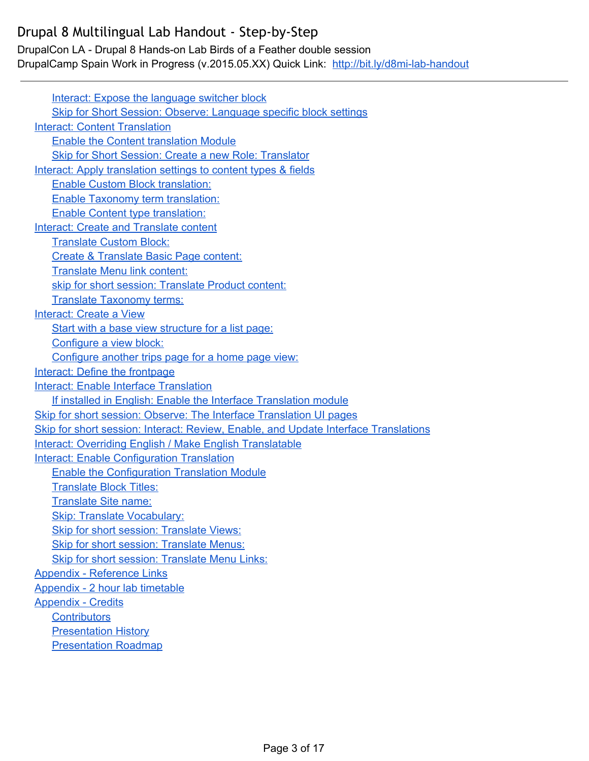#### DrupalCon LA - Drupal 8 Hands-on Lab Birds of a Feather double session DrupalCamp Spain Work in Progress (v.2015.05.XX) Quick Link: http://bit.ly/d8mi-lab-handout

Interact: Expose the [language](#page-7-1) switcher block Skip for Short Session: Observe: [Language](#page-7-2) specific block settings Interact: Content [Translation](#page-8-0) Enable the Content [translation](#page-8-1) Module Skip for Short Session: Create a new Role: [Translator](#page-8-2) Interact: Apply [translation](#page-8-3) settings to content types & fields Enable Custom Block [translation:](#page-9-0) Enable Taxonomy term [translation:](#page-9-1) Enable Content type [translation:](#page-9-2) Interact: Create and [Translate](#page-9-3) content [Translate](#page-9-4) Custom Block: Create & [Translate](#page-10-0) Basic Page content: [Translate](#page-10-1) Menu link content: skip for short session: [Translate](#page-10-2) Product content: Translate [Taxonomy](#page-11-0) terms: [Interact:](#page-11-1) Create a View Start with a base view [structure](#page-11-2) for a list page: [Configure](#page-11-3) a view block: [Configure](#page-12-0) another trips page for a home page view: Interact: Define the [frontpage](#page-12-1) Interact: Enable Interface [Translation](#page-12-2) If installed in English: Enable the Interface [Translation](#page-12-3) module Skip for short session: Observe: The Interface [Translation](#page-12-4) UI pages Skip for short session: Interact: Review, Enable, and Update Interface [Translations](#page-13-0) Interact: Overriding English / Make English [Translatable](#page-13-1) Interact: Enable [Configuration](#page-13-2) Translation Enable the [Configuration](#page-13-3) Translation Module [Translate](#page-13-4) Block Titles: [Translate](#page-14-0) Site name: Skip: Translate [Vocabulary:](#page-14-1) Skip for short session: [Translate](#page-14-2) Views: Skip for short session: [Translate](#page-14-3) Menus: Skip for short session: [Translate](#page-14-4) Menu Links: **Appendix - [Reference](#page-14-5) Links** [Appendix](#page-15-0) 2 hour lab timetable **[Appendix](#page-16-0) - Credits [Contributors](#page-16-1) [Presentation](#page-16-2) History** [Presentation](#page-16-3) Roadmap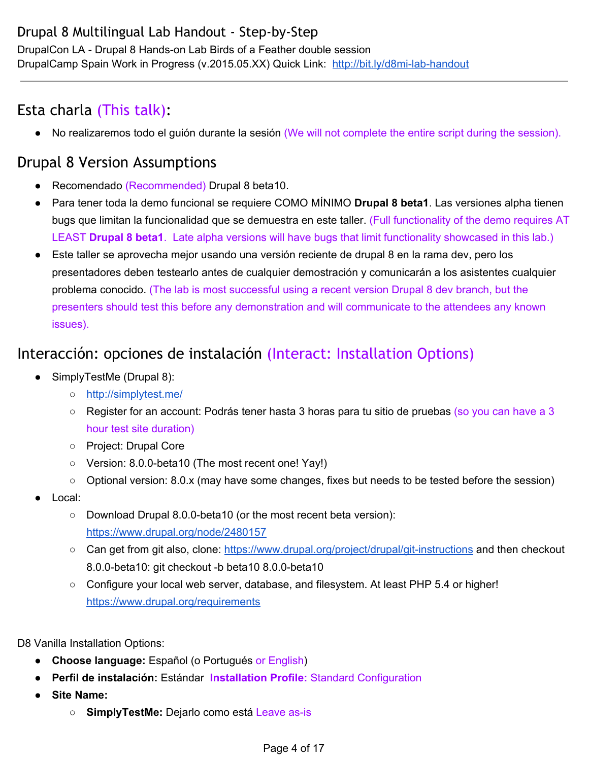# <span id="page-3-0"></span>Esta charla (This talk):

<span id="page-3-1"></span>● No realizaremos todo el guión durante la sesión (We will not complete the entire script during the session).

# <span id="page-3-2"></span>Drupal 8 Version Assumptions

- Recomendado (Recommended) Drupal 8 beta10.
- Para tener toda la demo funcional se requiere COMO MÍNIMO **Drupal 8 beta1**. Las versiones alpha tienen bugs que limitan la funcionalidad que se demuestra en este taller. (Full functionality of the demo requires AT LEAST **Drupal 8 beta1**. Late alpha versions will have bugs that limit functionality showcased in this lab.)
- Este taller se aprovecha mejor usando una versión reciente de drupal 8 en la rama dev, pero los presentadores deben testearlo antes de cualquier demostración y comunicarán a los asistentes cualquier problema conocido. (The lab is most successful using a recent version Drupal 8 dev branch, but the presenters should test this before any demonstration and will communicate to the attendees any known issues).

# <span id="page-3-3"></span>Interacción: opciones de instalación (Interact: Installation Options)

- SimplyTestMe (Drupal 8):
	- <http://simplytest.me/>
	- Register for an account: Podrás tener hasta 3 horas para tu sitio de pruebas (so you can have a 3 hour test site duration)
	- Project: Drupal Core
	- Version: 8.0.0-beta10 (The most recent one! Yay!)
	- Optional version: 8.0.x (may have some changes, fixes but needs to be tested before the session)
- Local:
	- Download Drupal 8.0.0-beta10 (or the most recent beta version)[:](https://www.drupal.org/node/2480157) <https://www.drupal.org/node/2480157>
	- Can get from git also, clone[:](https://www.drupal.org/project/drupal/git-instructions) https://www.drupal.org/project/drupal/git-instructions and then checkout 8.0.0-beta10: git checkout -b beta10 8.0.0-beta10
	- Configure your local web server, database, and filesystem. At least PHP 5.4 or higher[!](https://www.drupal.org/requirements) <https://www.drupal.org/requirements>

D8 Vanilla Installation Options:

- **Choose language:** Español (o Portugués or English)
- **Perfil de instalación:** Estándar **Installation Profile:**Standard Configuration
- **● Site Name:**
	- **SimplyTestMe:** Dejarlo como está Leave as-is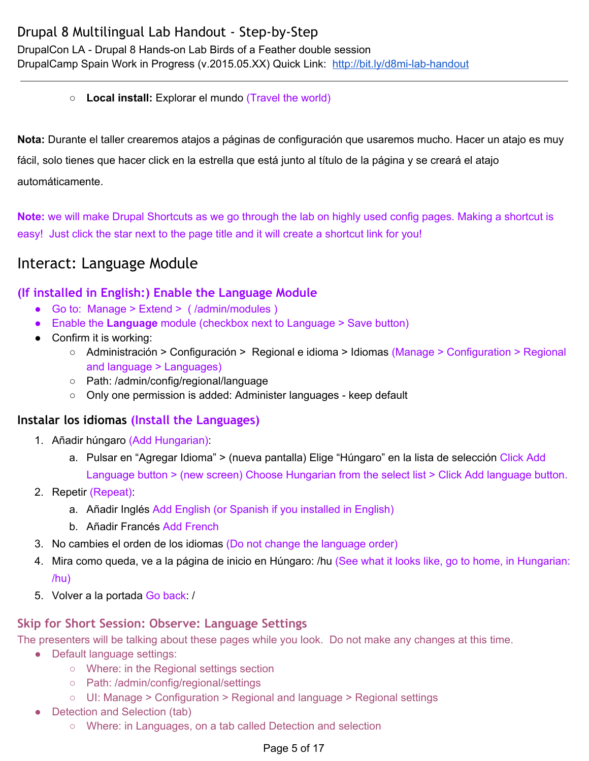DrupalCon LA - Drupal 8 Hands-on Lab Birds of a Feather double session DrupalCamp Spain Work in Progress (v.2015.05.XX) Quick Link: http://bit.ly/d8mi-lab-handout

#### ○ **Local install:** Explorar el mundo (Travel the world)

<span id="page-4-0"></span>**Nota:** Durante el taller crearemos atajos a páginas de configuración que usaremos mucho. Hacer un atajo es muy fácil, solo tienes que hacer click en la estrella que está junto al título de la página y se creará el atajo automáticamente.

<span id="page-4-1"></span>**Note:**we will make Drupal Shortcuts as we go through the lab on highly used config pages. Making a shortcut is easy! Just click the star next to the page title and it will create a shortcut link for you!

## <span id="page-4-2"></span>Interact: Language Module

## <span id="page-4-3"></span>**(If installed in English:) Enable the Language Module**

- Go to: Manage > Extend > (/admin/modules)
- Enable the **Language**module (checkbox next to Language > Save button)
- Confirm it is working:
	- Administración > Configuración > Regional e idioma > Idiomas (Manage > Configuration > Regional and language > Languages)
	- Path: /admin/config/regional/language
	- Only one permission is added: Administer languages keep default

#### <span id="page-4-4"></span>**Instalar los idiomas (Install the Languages)**

- <span id="page-4-5"></span>1. Añadir húngaro (Add Hungarian):
	- a. Pulsar en "Agregar Idioma" > (nueva pantalla) Elige "Húngaro" en la lista de selección Click Add Language button > (new screen) Choose Hungarian from the select list > Click Add language button.
- 2. Repetir (Repeat):
	- a. Añadir Inglés Add English (or Spanish if you installed in English)
	- b. Añadir Francés Add French
- 3. No cambies el orden de los idiomas (Do not change the language order)
- 4. Mira como queda, ve a la página de inicio en Húngaro: /hu (See what it looks like, go to home, in Hungarian: /hu)
- <span id="page-4-6"></span>5. Volver a la portada Go back: /

#### <span id="page-4-7"></span>**Skip for Short Session: Observe: Language Settings**

The presenters will be talking about these pages while you look. Do not make any changes at this time.

- Default language settings:
	- Where: in the Regional settings section
	- Path: /admin/config/regional/settings
	- UI: Manage > Configuration > Regional and language > Regional settings
- Detection and Selection (tab)
	- Where: in Languages, on a tab called Detection and selection

#### Page 5 of 17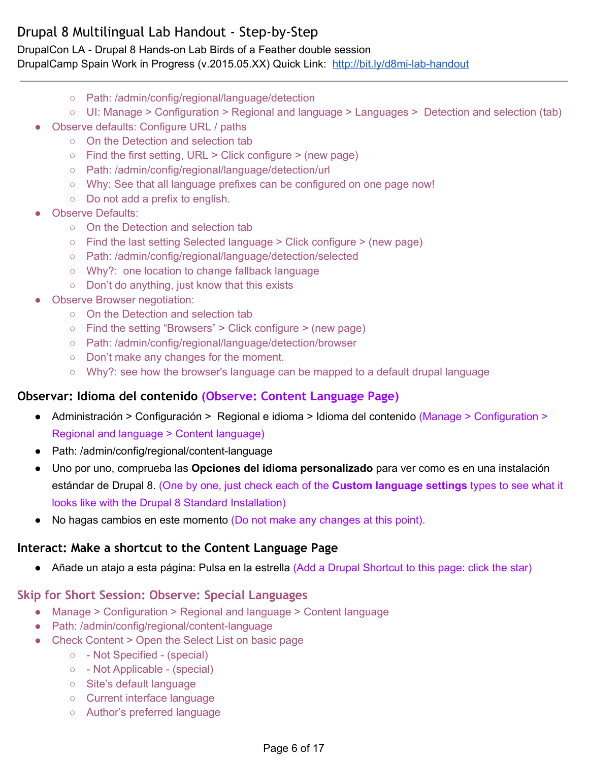#### DrupalCon LA - Drupal 8 Hands-on Lab Birds of a Feather double session

#### DrupalCamp Spain Work in Progress (v.2015.05.XX) Quick Link: http://bit.ly/d8mi-lab-handout

- Path: /admin/config/regional/language/detection
- $\circ$  UI: Manage > Configuration > Regional and language > Languages > Detection and selection (tab)
- Observe defaults: Configure URL / paths
	- On the Detection and selection tab
	- $\circ$  Find the first setting, URL > Click configure > (new page)
	- Path: /admin/config/regional/language/detection/url
	- Why: See that all language prefixes can be configured on one page now!
	- Do not add a prefix to english.
- **Observe Defaults:** 
	- On the Detection and selection tab
	- Find the last setting Selected language > Click configure > (new page)
	- Path: /admin/config/regional/language/detection/selected
	- Why?: one location to change fallback language
	- Don't do anything, just know that this exists
- Observe Browser negotiation:
	- On the Detection and selection tab
	- Find the setting "Browsers" > Click configure > (new page)
	- Path: /admin/config/regional/language/detection/browser
	- Don't make any changes for the moment.
	- Why?: see how the browser's language can be mapped to a default drupal language

## <span id="page-5-0"></span>**Observar: Idioma del contenido (Observe: Content Language Page)**

- <span id="page-5-1"></span>**●** Administración > Configuración > Regional e idioma > Idioma del contenido (Manage > Configuration > Regional and language > Content language)
- <span id="page-5-2"></span>• Path: /admin/config/regional/content-language
- <span id="page-5-3"></span>**●** Uno por uno, comprueba las **Opciones del idioma personalizado** para ver como es en una instalación estándar de Drupal 8. (One by one, just check each of the **Custom language settings**types to see what it looks like with the Drupal 8 Standard Installation)
- <span id="page-5-4"></span>**●** No hagas cambios en este momento (Do not make any changes at this point).

## <span id="page-5-5"></span>**Interact: Make a shortcut to the Content Language Page**

<span id="page-5-6"></span>**●** Añade un atajo a esta página: Pulsa en la estrella (Add a Drupal Shortcut to this page: click the star)

## <span id="page-5-8"></span><span id="page-5-7"></span>**Skip for Short Session: Observe: Special Languages**

- **●** Manage > Configuration > Regional and language > Content language
- Path: /admin/config/regional/content-language
- <span id="page-5-10"></span><span id="page-5-9"></span>**●** Check Content > Open the Select List on basic page
	- **○** Not Specified (special)
	- **○** Not Applicable (special)
	- **○** Site's default language
	- **○** Current interface language
	- **○** Author's preferred language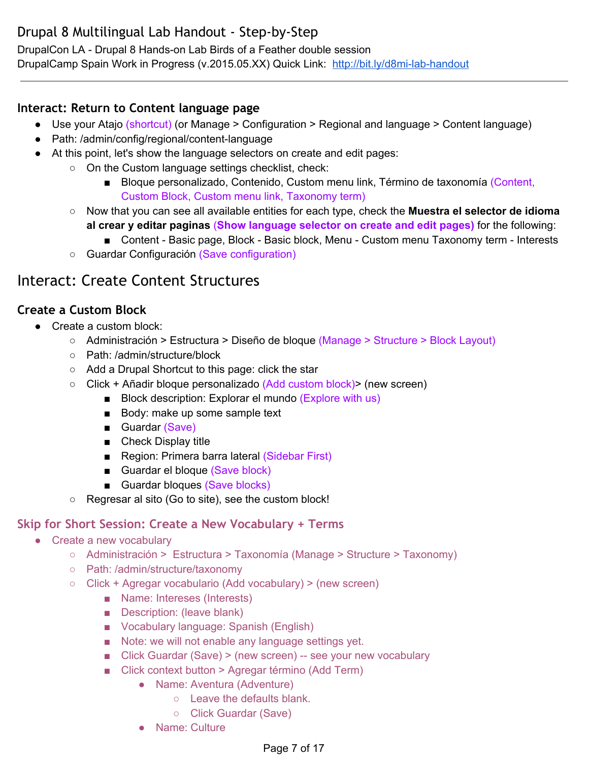DrupalCon LA - Drupal 8 Hands-on Lab Birds of a Feather double session DrupalCamp Spain Work in Progress (v.2015.05.XX) Quick Link: http://bit.ly/d8mi-lab-handout

## <span id="page-6-1"></span><span id="page-6-0"></span>**Interact: Return to Content language page**

- Use your Atajo (shortcut) (or Manage > Configuration > Regional and language > Content language)
- Path: /admin/config/regional/content-language
- At this point, let's show the language selectors on create and edit pages:
	- On the Custom language settings checklist, check:
		- Bloque personalizado, Contenido, Custom menu link, Término de taxonomía (Content, Custom Block, Custom menu link, Taxonomy term)
		- Now that you can see all available entities for each type, check the **Muestra el selector de idioma al crear y editar paginas**(**Show language selector on create and edit pages)**for the following:
			- Content Basic page, Block Basic block, Menu Custom menu Taxonomy term Interests
		- Guardar Configuración (Save configuration)

## <span id="page-6-2"></span>Interact: Create Content Structures

## <span id="page-6-3"></span>**Create a Custom Block**

- Create a custom block:
	- Administración > Estructura > Diseño de bloque (Manage > Structure > Block Layout)
	- Path: /admin/structure/block
	- Add a Drupal Shortcut to this page: click the star
	- Click + Añadir bloque personalizado (Add custom block)> (new screen)
		- Block description: Explorar el mundo (Explore with us)
		- Body: make up some sample text
		- Guardar (Save)
		- Check Display title
		- Region: Primera barra lateral (Sidebar First)
		- Guardar el bloque (Save block)
		- Guardar bloques (Save blocks)
	- Regresar al sito (Go to site), see the custom block!

## <span id="page-6-4"></span>**Skip for Short Session: Create a New Vocabulary + Terms**

- Create a new vocabulary
	- Administración > Estructura > Taxonomía (Manage > Structure > Taxonomy)
	- Path: /admin/structure/taxonomy
	- Click + Agregar vocabulario (Add vocabulary) > (new screen)
		- Name: Intereses (Interests)
		- Description: (leave blank)
		- Vocabulary language: Spanish (English)
		- Note: we will not enable any language settings yet.
		- Click Guardar (Save) > (new screen) -- see your new vocabulary
		- Click context button > Agregar término (Add Term)
			- Name: Aventura (Adventure)
				- Leave the defaults blank.
				- Click Guardar (Save)
			- Name: Culture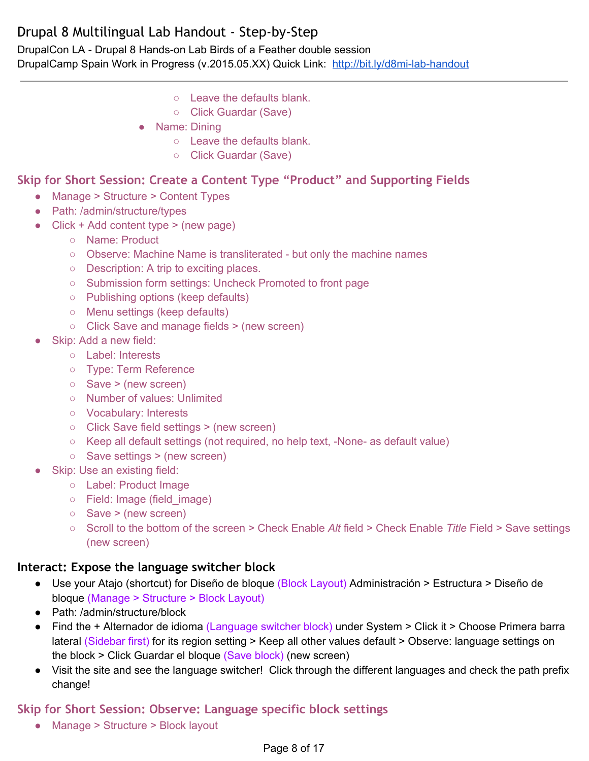DrupalCon LA - Drupal 8 Hands-on Lab Birds of a Feather double session DrupalCamp Spain Work in Progress (v.2015.05.XX) Quick Link: http://bit.ly/d8mi-lab-handout

- Leave the defaults blank.
- Click Guardar (Save)
- Name: Dining
	- Leave the defaults blank.
	- Click Guardar (Save)

## <span id="page-7-0"></span>**Skip for Short Session: Create a Content Type "Product" and Supporting Fields**

- Manage > Structure > Content Types
- Path: /admin/structure/types
- $Click + Add content type > (new page)$ 
	- Name: Product
	- Observe: Machine Name is transliterated but only the machine names
	- Description: A trip to exciting places.
	- Submission form settings: Uncheck Promoted to front page
	- Publishing options (keep defaults)
	- Menu settings (keep defaults)
	- Click Save and manage fields > (new screen)
- Skip: Add a new field:
	- Label: Interests
	- Type: Term Reference
	- Save > (new screen)
	- Number of values: Unlimited
	- Vocabulary: Interests
	- Click Save field settings > (new screen)
	- Keep all default settings (not required, no help text, -None- as default value)
	- Save settings > (new screen)
- Skip: Use an existing field:
	- Label: Product Image
	- Field: Image (field\_image)
	- Save > (new screen)
	- Scroll to the bottom of the screen > Check Enable *Alt* field > Check Enable *Title* Field > Save settings (new screen)

## <span id="page-7-1"></span>**Interact: Expose the language switcher block**

- Use your Atajo (shortcut) for Diseño de bloque (Block Layout) Administración > Estructura > Diseño de bloque (Manage > Structure > Block Layout)
- Path: /admin/structure/block
- Find the + Alternador de idioma (Language switcher block) under System > Click it > Choose Primera barra lateral (Sidebar first) for its region setting > Keep all other values default > Observe: language settings on the block > Click Guardar el bloque (Save block) (new screen)
- Visit the site and see the language switcher! Click through the different languages and check the path prefix change!

## <span id="page-7-2"></span>**Skip for Short Session: Observe: Language specific block settings**

● Manage > Structure > Block layout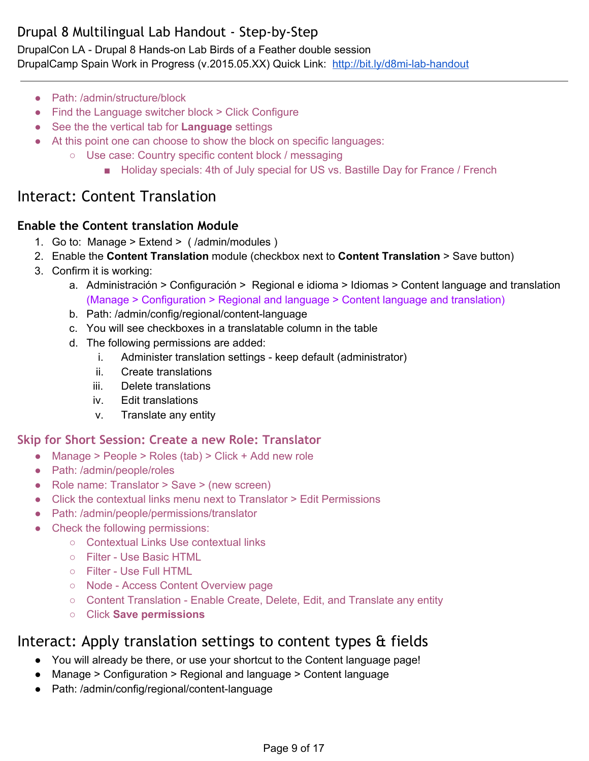#### DrupalCon LA - Drupal 8 Hands-on Lab Birds of a Feather double session DrupalCamp Spain Work in Progress (v.2015.05.XX) Quick Link: http://bit.ly/d8mi-lab-handout

- Path: /admin/structure/block
- Find the Language switcher block > Click Configure
- **•** See the the vertical tab for **Language** settings
- At this point one can choose to show the block on specific languages:
	- Use case: Country specific content block / messaging
		- Holiday specials: 4th of July special for US vs. Bastille Day for France / French

# <span id="page-8-0"></span>Interact: Content Translation

## <span id="page-8-1"></span>**Enable the Content translation Module**

- 1. Go to: Manage > Extend > ( /admin/modules )
- 2. Enable the **Content Translation**module (checkbox next to **Content Translation**> Save button)
- 3. Confirm it is working:
	- a. Administración > Configuración > Regional e idioma > Idiomas > Content language and translation (Manage > Configuration > Regional and language > Content language and translation)
	- b. Path: /admin/config/regional/content-language
	- c. You will see checkboxes in a translatable column in the table
	- d. The following permissions are added:
		- i. Administer translation settings keep default (administrator)
		- ii. Create translations
		- iii. Delete translations
		- iv. Edit translations
		- v. Translate any entity

## <span id="page-8-2"></span>**Skip for Short Session: Create a new Role: Translator**

- Manage > People > Roles (tab) > Click + Add new role
- Path: /admin/people/roles
- Role name: Translator > Save > (new screen)
- Click the contextual links menu next to Translator > Edit Permissions
- Path: /admin/people/permissions/translator
- Check the following permissions:
	- Contextual Links Use contextual links
	- Filter Use Basic HTML
	- Filter Use Full HTML
	- Node Access Content Overview page
	- Content Translation Enable Create, Delete, Edit, and Translate any entity
	- Click **Save permissions**

## <span id="page-8-3"></span>Interact: Apply translation settings to content types & fields

- You will already be there, or use your shortcut to the Content language page!
- Manage > Configuration > Regional and language > Content language
- Path: /admin/config/regional/content-language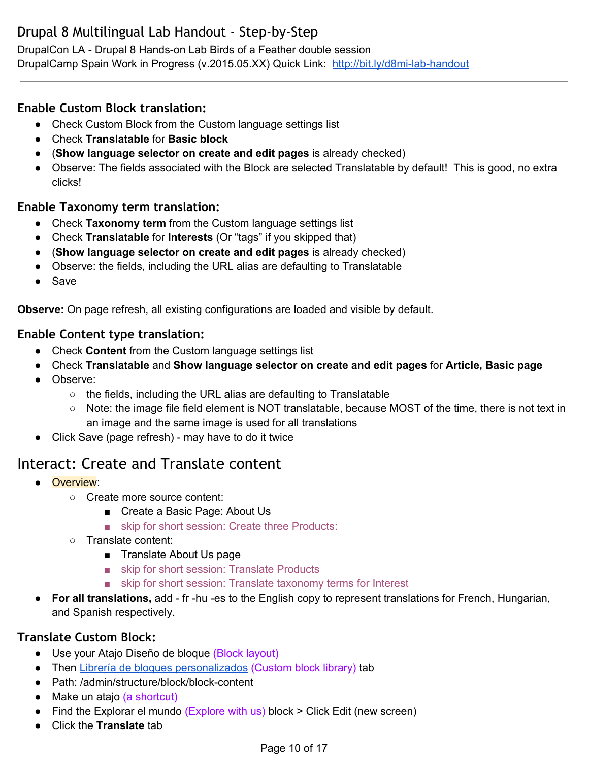DrupalCon LA - Drupal 8 Hands-on Lab Birds of a Feather double session DrupalCamp Spain Work in Progress (v.2015.05.XX) Quick Link: http://bit.ly/d8mi-lab-handout

## <span id="page-9-0"></span>**Enable Custom Block translation:**

- Check Custom Block from the Custom language settings list
- Check **Translatable** for **Basic block**
- (**Show language selector on create and edit pages**is already checked)
- Observe: The fields associated with the Block are selected Translatable by default! This is good, no extra clicks!

## <span id="page-9-1"></span>**Enable Taxonomy term translation:**

- Check **Taxonomy term**from the Custom language settings list
- Check **Translatable**for **Interests** (Or "tags" if you skipped that)
- (**Show language selector on create and edit pages**is already checked)
- Observe: the fields, including the URL alias are defaulting to Translatable
- Save

**Observe:**On page refresh, all existing configurations are loaded and visible by default.

#### <span id="page-9-2"></span>**Enable Content type translation:**

- Check **Content** from the Custom language settings list
- Check **Translatable**and **Show language selector on create and edit pages**for **Article, Basic page**
- Observe:
	- the fields, including the URL alias are defaulting to Translatable
	- Note: the image file field element is NOT translatable, because MOST of the time, there is not text in an image and the same image is used for all translations
- Click Save (page refresh) may have to do it twice

# <span id="page-9-3"></span>Interact: Create and Translate content

- Overview:
	- Create more source content:
		- Create a Basic Page: About Us
		- skip for short session: Create three Products:
	- Translate content:
		- Translate About Us page
		- skip for short session: Translate Products
		- skip for short session: Translate taxonomy terms for Interest
- **For all translations,**add fr hu es to the English copy to represent translations for French, Hungarian, and Spanish respectively.

## <span id="page-9-4"></span>**Translate Custom Block:**

- Use your Atajo Diseño de bloque (Block layout)
- Then Librería de bloques [personalizados](http://localhost/drupal/admin/structure/block/block-content) (Custom block library) tab
- Path: /admin/structure/block/block-content
- Make un atajo (a shortcut)
- Find the Explorar el mundo (Explore with us) block  $>$  Click Edit (new screen)
- Click the **Translate**tab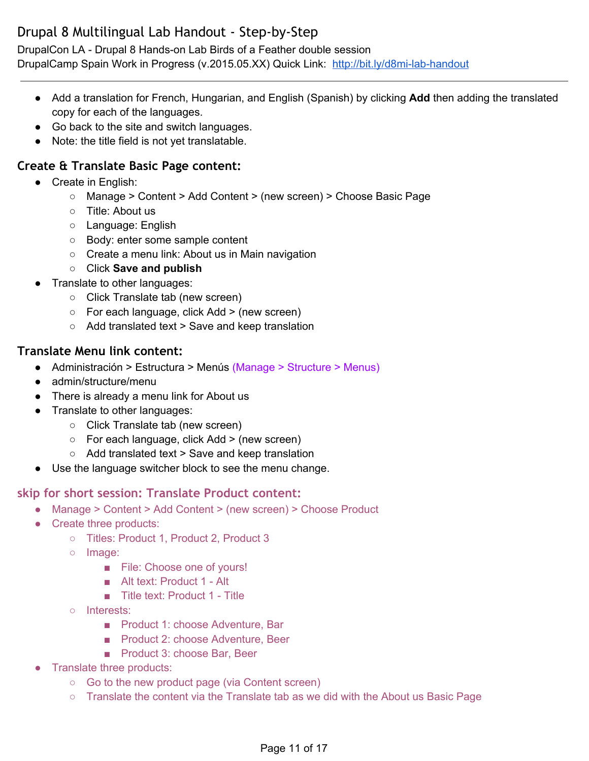DrupalCon LA - Drupal 8 Hands-on Lab Birds of a Feather double session DrupalCamp Spain Work in Progress (v.2015.05.XX) Quick Link: http://bit.ly/d8mi-lab-handout

- Add a translation for French, Hungarian, and English (Spanish) by clicking **Add**then adding the translated copy for each of the languages.
- Go back to the site and switch languages.
- Note: the title field is not yet translatable.

## <span id="page-10-0"></span>**Create & Translate Basic Page content:**

- Create in English:
	- Manage > Content > Add Content > (new screen) > Choose Basic Page
	- Title: About us
	- Language: English
	- Body: enter some sample content
	- Create a menu link: About us in Main navigation
	- Click **Save and publish**
- Translate to other languages:
	- Click Translate tab (new screen)
	- For each language, click Add > (new screen)
	- Add translated text > Save and keep translation

## <span id="page-10-1"></span>**Translate Menu link content:**

- Administración > Estructura > Menús (Manage > Structure > Menus)
- admin/structure/menu
- There is already a menu link for About us
- Translate to other languages:
	- Click Translate tab (new screen)
	- For each language, click Add > (new screen)
	- Add translated text > Save and keep translation
- Use the language switcher block to see the menu change.

## <span id="page-10-2"></span>**skip for short session: Translate Product content:**

- Manage > Content > Add Content > (new screen) > Choose Product
- Create three products:
	- Titles: Product 1, Product 2, Product 3
	- Image:
		- File: Choose one of yours!
		- Alt text: Product 1 Alt
		- Title text: Product 1 Title
	- Interests:
		- Product 1: choose Adventure, Bar
		- Product 2: choose Adventure, Beer
		- Product 3: choose Bar, Beer
- Translate three products:
	- Go to the new product page (via Content screen)
	- Translate the content via the Translate tab as we did with the About us Basic Page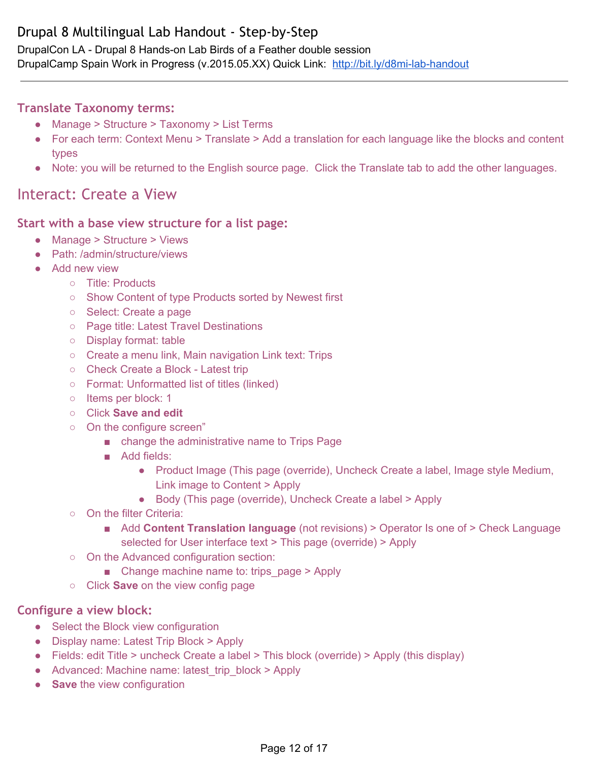DrupalCon LA - Drupal 8 Hands-on Lab Birds of a Feather double session DrupalCamp Spain Work in Progress (v.2015.05.XX) Quick Link: http://bit.ly/d8mi-lab-handout

## <span id="page-11-0"></span>**Translate Taxonomy terms:**

- Manage > Structure > Taxonomy > List Terms
- For each term: Context Menu > Translate > Add a translation for each language like the blocks and content types
- Note: you will be returned to the English source page. Click the Translate tab to add the other languages.

## <span id="page-11-1"></span>Interact: Create a View

#### <span id="page-11-2"></span>**Start with a base view structure for a list page:**

- Manage > Structure > Views
- Path: /admin/structure/views
- Add new view
	- Title: Products
	- Show Content of type Products sorted by Newest first
	- Select: Create a page
	- Page title: Latest Travel Destinations
	- Display format: table
	- Create a menu link, Main navigation Link text: Trips
	- Check Create a Block Latest trip
	- Format: Unformatted list of titles (linked)
	- Items per block: 1
	- Click **Save and edit**
	- On the configure screen"
		- change the administrative name to Trips Page
		- Add fields:
			- Product Image (This page (override), Uncheck Create a label, Image style Medium, Link image to Content > Apply
			- Body (This page (override), Uncheck Create a label > Apply
	- On the filter Criteria:
		- Add **Content Translation language** (not revisions) > Operator Is one of > Check Language selected for User interface text > This page (override) > Apply
	- On the Advanced configuration section:
		- Change machine name to: trips\_page > Apply
	- **Click Save on the view config page**

## <span id="page-11-3"></span>**Configure a view block:**

- Select the Block view configuration
- Display name: Latest Trip Block > Apply
- Fields: edit Title > uncheck Create a label > This block (override) > Apply (this display)
- Advanced: Machine name: latest\_trip\_block > Apply
- **Save** the view configuration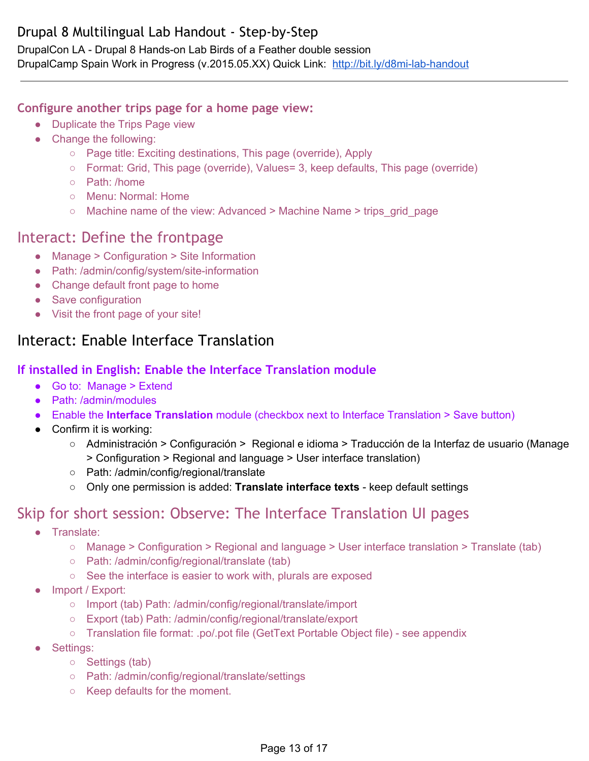DrupalCon LA - Drupal 8 Hands-on Lab Birds of a Feather double session DrupalCamp Spain Work in Progress (v.2015.05.XX) Quick Link: http://bit.ly/d8mi-lab-handout

#### <span id="page-12-0"></span>**Configure another trips page for a home page view:**

- Duplicate the Trips Page view
- Change the following:
	- Page title: Exciting destinations, This page (override), Apply
	- Format: Grid, This page (override), Values= 3, keep defaults, This page (override)
	- Path: /home
	- Menu: Normal: Home
	- Machine name of the view: Advanced > Machine Name > trips\_grid\_page

## <span id="page-12-1"></span>Interact: Define the frontpage

- Manage > Configuration > Site Information
- Path: /admin/config/system/site-information
- Change default front page to home
- Save configuration
- Visit the front page of your site!

## <span id="page-12-2"></span>Interact: Enable Interface Translation

## <span id="page-12-3"></span>**If installed in English: Enable the Interface Translation module**

- Go to: Manage > Extend
- Path: /admin/modules
- Enable the **Interface Translation**module (checkbox next to Interface Translation > Save button)
- Confirm it is working:
	- Administración > Configuración > Regional e idioma > Traducción de la Interfaz de usuario (Manage > Configuration > Regional and language > User interface translation)
	- Path: /admin/config/regional/translate
	- Only one permission is added: **Translate interface texts** keep default settings

## <span id="page-12-4"></span>Skip for short session: Observe: The Interface Translation UI pages

- Translate:
	- Manage > Configuration > Regional and language > User interface translation > Translate (tab)
	- Path: /admin/config/regional/translate (tab)
	- See the interface is easier to work with, plurals are exposed
- Import / Export:
	- Import (tab) Path: /admin/config/regional/translate/import
	- Export (tab) Path: /admin/config/regional/translate/export
	- Translation file format: .po/.pot file (GetText Portable Object file) see appendix
- Settings:
	- Settings (tab)
	- Path: /admin/config/regional/translate/settings
	- Keep defaults for the moment.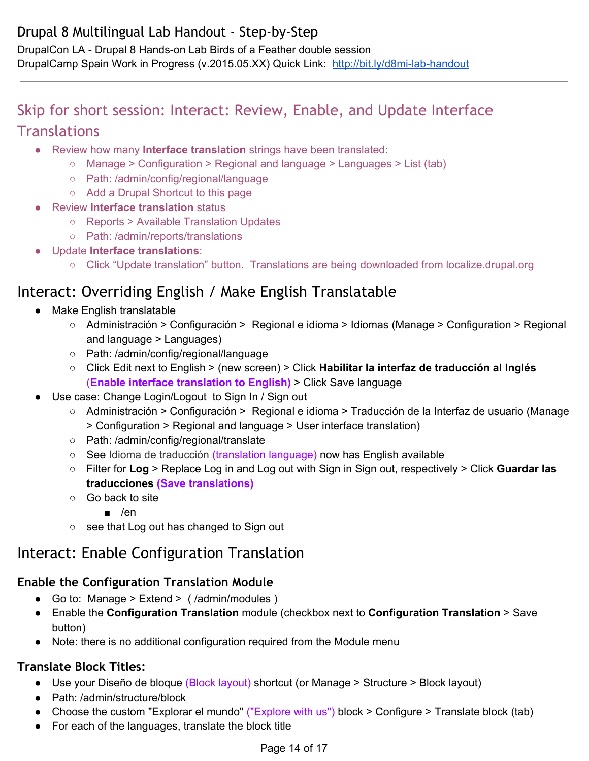DrupalCon LA - Drupal 8 Hands-on Lab Birds of a Feather double session DrupalCamp Spain Work in Progress (v.2015.05.XX) Quick Link: http://bit.ly/d8mi-lab-handout

# <span id="page-13-0"></span>Skip for short session: Interact: Review, Enable, and Update Interface

## **Translations**

- Review how many **Interface translation**strings have been translated:
	- Manage > Configuration > Regional and language > Languages > List (tab)
	- Path: /admin/config/regional/language
	- Add a Drupal Shortcut to this page
- **Review Interface translation** status
	- Reports > Available Translation Updates
	- Path: /admin/reports/translations
- Update **Interface translations**:
	- Click "Update translation" button. Translations are being downloaded from localize.drupal.org

# <span id="page-13-1"></span>Interact: Overriding English / Make English Translatable

- Make English translatable
	- Administración > Configuración > Regional e idioma > Idiomas (Manage > Configuration > Regional and language > Languages)
	- Path: /admin/config/regional/language
	- Click Edit next to English > (new screen) > Click **Habilitar la interfaz de traducción al Inglés** (**Enable interface translation to English)**> Click Save language
- Use case: Change Login/Logout to Sign In / Sign out
	- Administración > Configuración > Regional e idioma > Traducción de la Interfaz de usuario (Manage > Configuration > Regional and language > User interface translation)
	- Path: /admin/config/regional/translate
	- See Idioma de traducción (translation language) now has English available
	- Filter for **Log** > Replace Log in and Log out with Sign in Sign out, respectively > Click **Guardar las traducciones (Save translations)**
	- Go back to site
		- /en
	- see that Log out has changed to Sign out

# <span id="page-13-2"></span>Interact: Enable Configuration Translation

## <span id="page-13-3"></span>**Enable the Configuration Translation Module**

- Go to: Manage > Extend > (/admin/modules)
- Enable the **Configuration Translation**module (checkbox next to **Configuration Translation**> Save button)
- Note: there is no additional configuration required from the Module menu

## <span id="page-13-4"></span>**Translate Block Titles:**

- Use your Diseño de bloque (Block layout) shortcut (or Manage > Structure > Block layout)
- Path: /admin/structure/block
- Choose the custom "Explorar el mundo" ("Explore with us") block > Configure > Translate block (tab)
- For each of the languages, translate the block title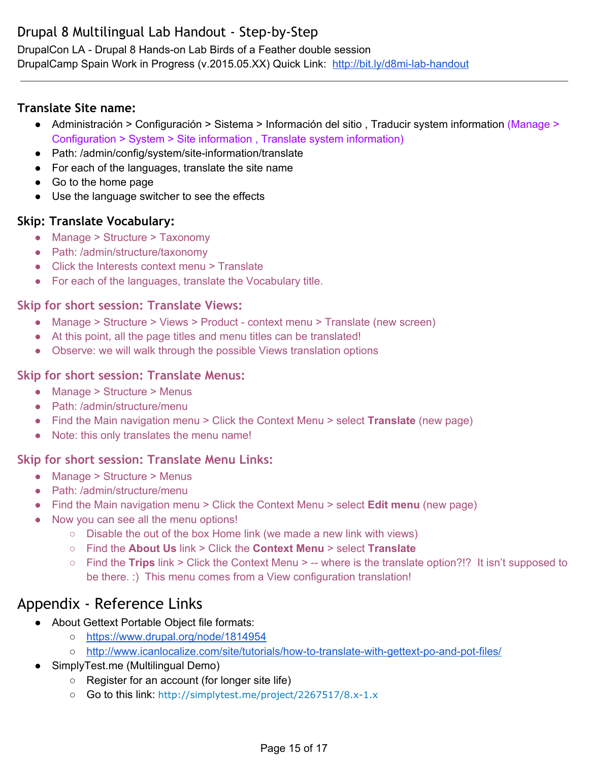DrupalCon LA - Drupal 8 Hands-on Lab Birds of a Feather double session DrupalCamp Spain Work in Progress (v.2015.05.XX) Quick Link: http://bit.ly/d8mi-lab-handout

#### <span id="page-14-0"></span>**Translate Site name:**

- Administración > Configuración > Sistema > Información del sitio, Traducir system information (Manage > Configuration > System > Site information , Translate system information)
- Path: /admin/config/system/site-information/translate
- For each of the languages, translate the site name
- Go to the home page
- Use the language switcher to see the effects

#### <span id="page-14-1"></span>**Skip: Translate Vocabulary:**

- Manage > Structure > Taxonomy
- Path: /admin/structure/taxonomy
- Click the Interests context menu > Translate
- For each of the languages, translate the Vocabulary title.

#### <span id="page-14-2"></span>**Skip for short session: Translate Views:**

- Manage > Structure > Views > Product context menu > Translate (new screen)
- At this point, all the page titles and menu titles can be translated!
- Observe: we will walk through the possible Views translation options

#### <span id="page-14-3"></span>**Skip for short session: Translate Menus:**

- Manage > Structure > Menus
- Path: /admin/structure/menu
- Find the Main navigation menu > Click the Context Menu > select **Translate** (new page)
- Note: this only translates the menu name!

#### <span id="page-14-4"></span>**Skip for short session: Translate Menu Links:**

- Manage > Structure > Menus
- Path: /admin/structure/menu
- Find the Main navigation menu > Click the Context Menu > select **Edit menu** (new page)
- Now you can see all the menu options!
	- Disable the out of the box Home link (we made a new link with views)
	- Find the **About Us**link > Click the **Context Menu**> select **Translate**
	- Find the **Trips** link > Click the Context Menu > -- where is the translate option?!? It isn't supposed to be there. :) This menu comes from a View configuration translation!

## <span id="page-14-5"></span>Appendix - Reference Links

- About Gettext Portable Object file formats:
	- <https://www.drupal.org/node/1814954>
	- http://www.icanlocalize.com/site/tutorials/how-to-translate-with-gettext-po-and-pot-files/
- SimplyTest.me (Multilingual Demo)
	- Register for an account (for longer site life)
	- Go to this link: <http://simplytest.me/project/2267517/8.x-1.x>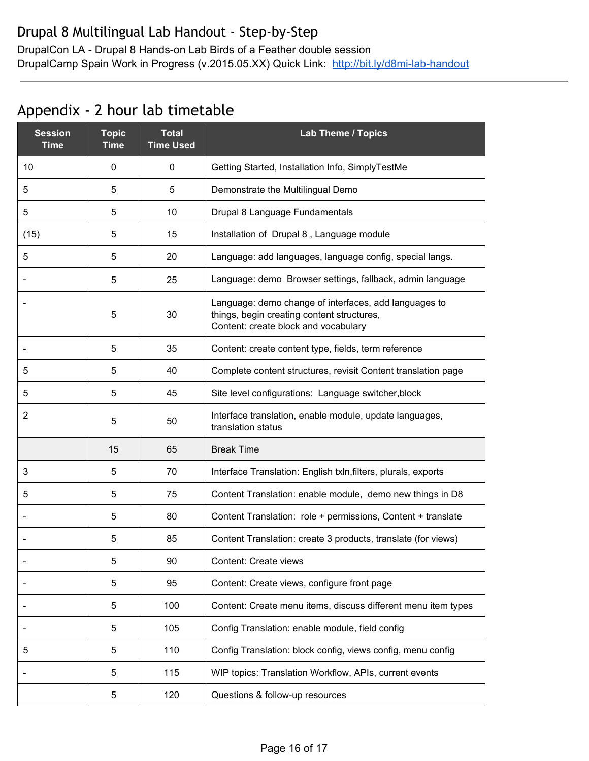DrupalCon LA - Drupal 8 Hands-on Lab Birds of a Feather double session DrupalCamp Spain Work in Progress (v.2015.05.XX) Quick Link: http://bit.ly/d8mi-lab-handout

# <span id="page-15-0"></span>Appendix - 2 hour lab timetable

| <b>Session</b><br><b>Time</b> | <b>Topic</b><br><b>Time</b> | <b>Total</b><br><b>Time Used</b> | <b>Lab Theme / Topics</b>                                                                                                                   |
|-------------------------------|-----------------------------|----------------------------------|---------------------------------------------------------------------------------------------------------------------------------------------|
| 10                            | 0                           | 0                                | Getting Started, Installation Info, SimplyTestMe                                                                                            |
| 5                             | 5                           | 5                                | Demonstrate the Multilingual Demo                                                                                                           |
| 5                             | 5                           | 10                               | Drupal 8 Language Fundamentals                                                                                                              |
| (15)                          | 5                           | 15                               | Installation of Drupal 8, Language module                                                                                                   |
| 5                             | 5                           | 20                               | Language: add languages, language config, special langs.                                                                                    |
|                               | 5                           | 25                               | Language: demo Browser settings, fallback, admin language                                                                                   |
|                               | 5                           | 30                               | Language: demo change of interfaces, add languages to<br>things, begin creating content structures,<br>Content: create block and vocabulary |
|                               | 5                           | 35                               | Content: create content type, fields, term reference                                                                                        |
| 5                             | 5                           | 40                               | Complete content structures, revisit Content translation page                                                                               |
| 5                             | 5                           | 45                               | Site level configurations: Language switcher, block                                                                                         |
| 2                             | 5                           | 50                               | Interface translation, enable module, update languages,<br>translation status                                                               |
|                               | 15                          | 65                               | <b>Break Time</b>                                                                                                                           |
| 3                             | 5                           | 70                               | Interface Translation: English txln, filters, plurals, exports                                                                              |
| 5                             | 5                           | 75                               | Content Translation: enable module, demo new things in D8                                                                                   |
|                               | 5                           | 80                               | Content Translation: role + permissions, Content + translate                                                                                |
|                               | 5                           | 85                               | Content Translation: create 3 products, translate (for views)                                                                               |
|                               | 5                           | 90                               | Content: Create views                                                                                                                       |
|                               | 5                           | 95                               | Content: Create views, configure front page                                                                                                 |
|                               | 5                           | 100                              | Content: Create menu items, discuss different menu item types                                                                               |
|                               | 5                           | 105                              | Config Translation: enable module, field config                                                                                             |
| 5                             | 5                           | 110                              | Config Translation: block config, views config, menu config                                                                                 |
|                               | 5                           | 115                              | WIP topics: Translation Workflow, APIs, current events                                                                                      |
|                               | 5                           | 120                              | Questions & follow-up resources                                                                                                             |